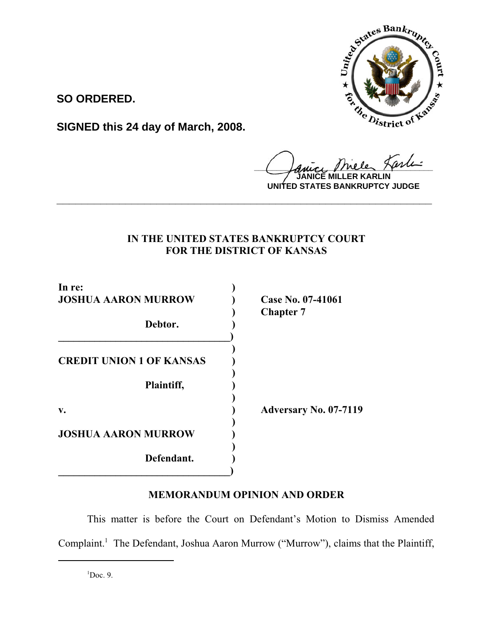

**SO ORDERED.**

**SIGNED this 24 day of March, 2008.**

**Lauce Meler Henn JARLIN** 

**UNITED STATES BANKRUPTCY JUDGE**

## **IN THE UNITED STATES BANKRUPTCY COURT FOR THE DISTRICT OF KANSAS**

**\_\_\_\_\_\_\_\_\_\_\_\_\_\_\_\_\_\_\_\_\_\_\_\_\_\_\_\_\_\_\_\_\_\_\_\_\_\_\_\_\_\_\_\_\_\_\_\_\_\_\_\_\_\_\_\_\_\_\_\_**

| In re:<br><b>JOSHUA AARON MURROW</b> | Case No. 07-41061<br><b>Chapter 7</b> |
|--------------------------------------|---------------------------------------|
| Debtor.                              |                                       |
| <b>CREDIT UNION 1 OF KANSAS</b>      |                                       |
| Plaintiff,                           |                                       |
| v.                                   | <b>Adversary No. 07-7119</b>          |
| <b>JOSHUA AARON MURROW</b>           |                                       |
| Defendant.                           |                                       |

# **MEMORANDUM OPINION AND ORDER**

This matter is before the Court on Defendant's Motion to Dismiss Amended Complaint.<sup>1</sup> The Defendant, Joshua Aaron Murrow ("Murrow"), claims that the Plaintiff,

 ${}^{1}$ Doc. 9.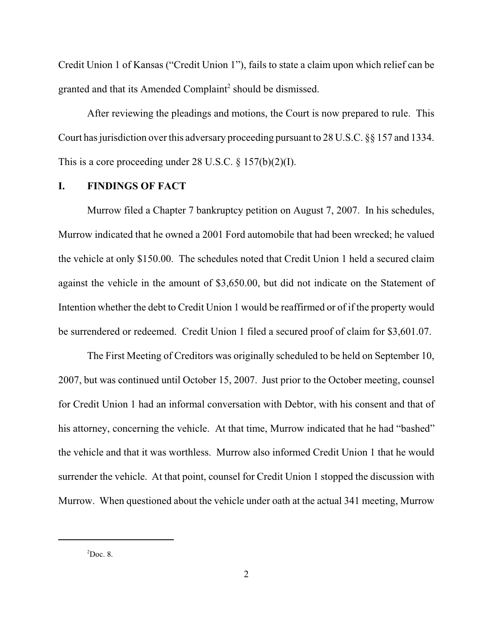Credit Union 1 of Kansas ("Credit Union 1"), fails to state a claim upon which relief can be granted and that its Amended Complaint<sup>2</sup> should be dismissed.

After reviewing the pleadings and motions, the Court is now prepared to rule. This Court has jurisdiction over this adversary proceeding pursuant to 28 U.S.C. §§ 157 and 1334. This is a core proceeding under 28 U.S.C.  $\S 157(b)(2)(I)$ .

### **I. FINDINGS OF FACT**

Murrow filed a Chapter 7 bankruptcy petition on August 7, 2007. In his schedules, Murrow indicated that he owned a 2001 Ford automobile that had been wrecked; he valued the vehicle at only \$150.00. The schedules noted that Credit Union 1 held a secured claim against the vehicle in the amount of \$3,650.00, but did not indicate on the Statement of Intention whether the debt to Credit Union 1 would be reaffirmed or of if the property would be surrendered or redeemed. Credit Union 1 filed a secured proof of claim for \$3,601.07.

The First Meeting of Creditors was originally scheduled to be held on September 10, 2007, but was continued until October 15, 2007. Just prior to the October meeting, counsel for Credit Union 1 had an informal conversation with Debtor, with his consent and that of his attorney, concerning the vehicle. At that time, Murrow indicated that he had "bashed" the vehicle and that it was worthless. Murrow also informed Credit Union 1 that he would surrender the vehicle. At that point, counsel for Credit Union 1 stopped the discussion with Murrow. When questioned about the vehicle under oath at the actual 341 meeting, Murrow

 $2$ Doc. 8.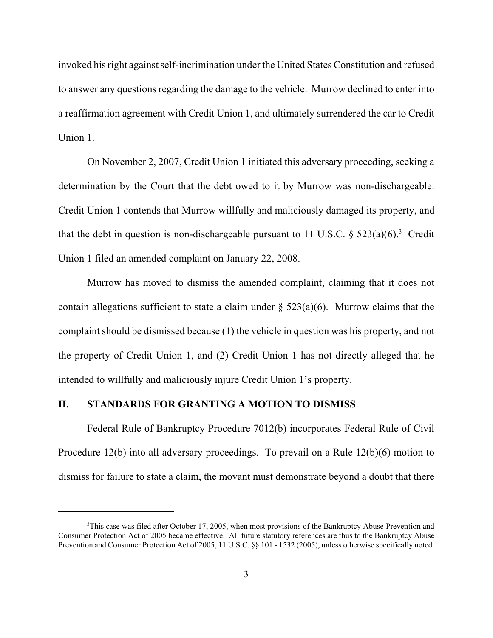invoked his right against self-incrimination under the United States Constitution and refused to answer any questions regarding the damage to the vehicle. Murrow declined to enter into a reaffirmation agreement with Credit Union 1, and ultimately surrendered the car to Credit Union 1.

On November 2, 2007, Credit Union 1 initiated this adversary proceeding, seeking a determination by the Court that the debt owed to it by Murrow was non-dischargeable. Credit Union 1 contends that Murrow willfully and maliciously damaged its property, and that the debt in question is non-dischargeable pursuant to 11 U.S.C.  $\S$  523(a)(6).<sup>3</sup> Credit Union 1 filed an amended complaint on January 22, 2008.

Murrow has moved to dismiss the amended complaint, claiming that it does not contain allegations sufficient to state a claim under  $\S$  523(a)(6). Murrow claims that the complaint should be dismissed because (1) the vehicle in question was his property, and not the property of Credit Union 1, and (2) Credit Union 1 has not directly alleged that he intended to willfully and maliciously injure Credit Union 1's property.

### **II. STANDARDS FOR GRANTING A MOTION TO DISMISS**

Federal Rule of Bankruptcy Procedure 7012(b) incorporates Federal Rule of Civil Procedure 12(b) into all adversary proceedings. To prevail on a Rule 12(b)(6) motion to dismiss for failure to state a claim, the movant must demonstrate beyond a doubt that there

<sup>&</sup>lt;sup>3</sup>This case was filed after October 17, 2005, when most provisions of the Bankruptcy Abuse Prevention and Consumer Protection Act of 2005 became effective. All future statutory references are thus to the Bankruptcy Abuse Prevention and Consumer Protection Act of 2005, 11 U.S.C. §§ 101 - 1532 (2005), unless otherwise specifically noted.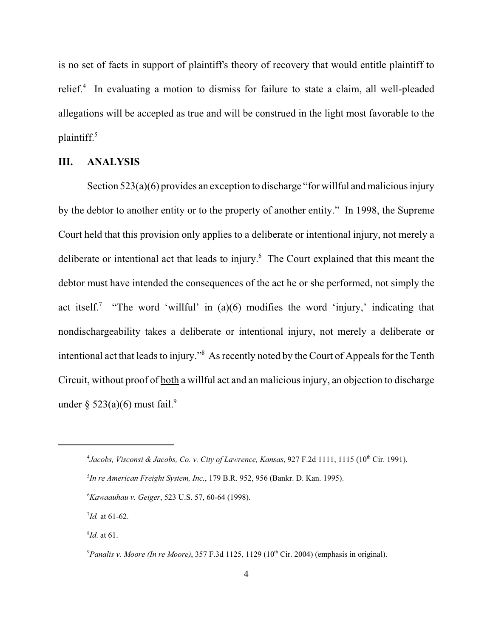is no set of facts in support of plaintiff's theory of recovery that would entitle plaintiff to relief.<sup>4</sup> In evaluating a motion to dismiss for failure to state a claim, all well-pleaded allegations will be accepted as true and will be construed in the light most favorable to the plaintiff. $5$ 

#### **III. ANALYSIS**

Section 523(a)(6) provides an exception to discharge "for will ful and malicious injury by the debtor to another entity or to the property of another entity." In 1998, the Supreme Court held that this provision only applies to a deliberate or intentional injury, not merely a deliberate or intentional act that leads to injury.<sup>6</sup> The Court explained that this meant the debtor must have intended the consequences of the act he or she performed, not simply the act itself.<sup>7</sup> "The word 'willful' in (a)(6) modifies the word 'injury,' indicating that nondischargeability takes a deliberate or intentional injury, not merely a deliberate or intentional act that leads to injury."8 As recently noted by the Court of Appeals for the Tenth Circuit, without proof of both a willful act and an malicious injury, an objection to discharge under  $\frac{2523(a)(6)}{24}$  must fail.<sup>9</sup>

<sup>&</sup>lt;sup>4</sup> Jacobs, Visconsi & Jacobs, Co. v. City of Lawrence, Kansas, 927 F.2d 1111, 1115 (10<sup>th</sup> Cir. 1991).

<sup>5</sup> *In re American Freight System, Inc.*, 179 B.R. 952, 956 (Bankr. D. Kan. 1995).

<sup>6</sup> *Kawaauhau v. Geiger*, 523 U.S. 57, 60-64 (1998).

<sup>7</sup> *Id.* at 61-62.

<sup>8</sup> *Id*. at 61.

<sup>&</sup>lt;sup>9</sup> Panalis v. Moore (In re Moore), 357 F.3d 1125, 1129 (10<sup>th</sup> Cir. 2004) (emphasis in original).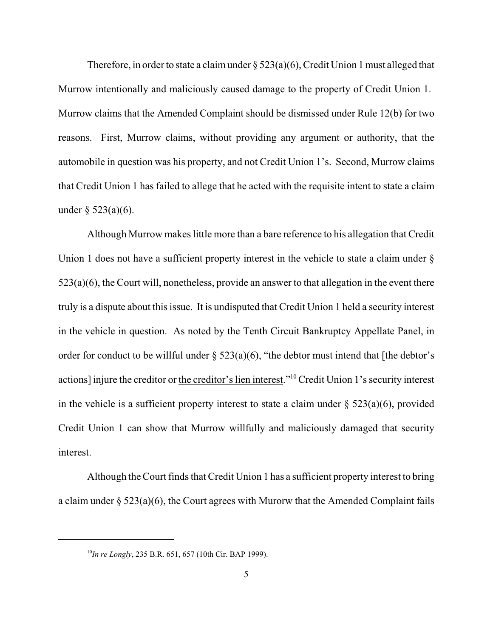Therefore, in order to state a claim under  $\S$  523(a)(6), Credit Union 1 must alleged that Murrow intentionally and maliciously caused damage to the property of Credit Union 1. Murrow claims that the Amended Complaint should be dismissed under Rule 12(b) for two reasons. First, Murrow claims, without providing any argument or authority, that the automobile in question was his property, and not Credit Union 1's. Second, Murrow claims that Credit Union 1 has failed to allege that he acted with the requisite intent to state a claim under  $\delta$  523(a)(6).

Although Murrow makes little more than a bare reference to his allegation that Credit Union 1 does not have a sufficient property interest in the vehicle to state a claim under  $\S$ 523(a)(6), the Court will, nonetheless, provide an answer to that allegation in the event there truly is a dispute about this issue. It is undisputed that Credit Union 1 held a security interest in the vehicle in question. As noted by the Tenth Circuit Bankruptcy Appellate Panel, in order for conduct to be willful under  $\S$  523(a)(6), "the debtor must intend that [the debtor's actions] injure the creditor or the creditor's lien interest."10 Credit Union 1's security interest in the vehicle is a sufficient property interest to state a claim under  $\S 523(a)(6)$ , provided Credit Union 1 can show that Murrow willfully and maliciously damaged that security interest.

Although the Court finds that Credit Union 1 has a sufficient property interest to bring a claim under  $\S 523(a)(6)$ , the Court agrees with Murorw that the Amended Complaint fails

<sup>10</sup>*In re Longly*, 235 B.R. 651, 657 (10th Cir. BAP 1999).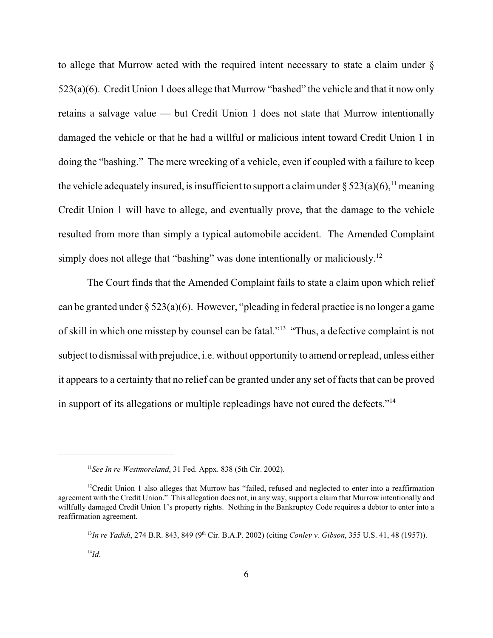to allege that Murrow acted with the required intent necessary to state a claim under § 523(a)(6). Credit Union 1 does allege that Murrow "bashed" the vehicle and that it now only retains a salvage value — but Credit Union 1 does not state that Murrow intentionally damaged the vehicle or that he had a willful or malicious intent toward Credit Union 1 in doing the "bashing." The mere wrecking of a vehicle, even if coupled with a failure to keep the vehicle adequately insured, is insufficient to support a claim under §  $523(a)(6)$ ,<sup>11</sup> meaning Credit Union 1 will have to allege, and eventually prove, that the damage to the vehicle resulted from more than simply a typical automobile accident. The Amended Complaint simply does not allege that "bashing" was done intentionally or maliciously.<sup>12</sup>

The Court finds that the Amended Complaint fails to state a claim upon which relief can be granted under  $\S 523(a)(6)$ . However, "pleading in federal practice is no longer a game of skill in which one misstep by counsel can be fatal."13 "Thus, a defective complaint is not subject to dismissal with prejudice, i.e. without opportunity to amend or replead, unless either it appears to a certainty that no relief can be granted under any set of facts that can be proved in support of its allegations or multiple repleadings have not cured the defects."14

<sup>11</sup>*See In re Westmoreland*, 31 Fed. Appx. 838 (5th Cir. 2002).

 $12$ Credit Union 1 also alleges that Murrow has "failed, refused and neglected to enter into a reaffirmation agreement with the Credit Union." This allegation does not, in any way, support a claim that Murrow intentionally and willfully damaged Credit Union 1's property rights. Nothing in the Bankruptcy Code requires a debtor to enter into a reaffirmation agreement.

<sup>&</sup>lt;sup>13</sup>*In re Yadidi*, 274 B.R. 843, 849 (9<sup>th</sup> Cir. B.A.P. 2002) (citing *Conley v. Gibson*, 355 U.S. 41, 48 (1957)).

<sup>14</sup>*Id.*